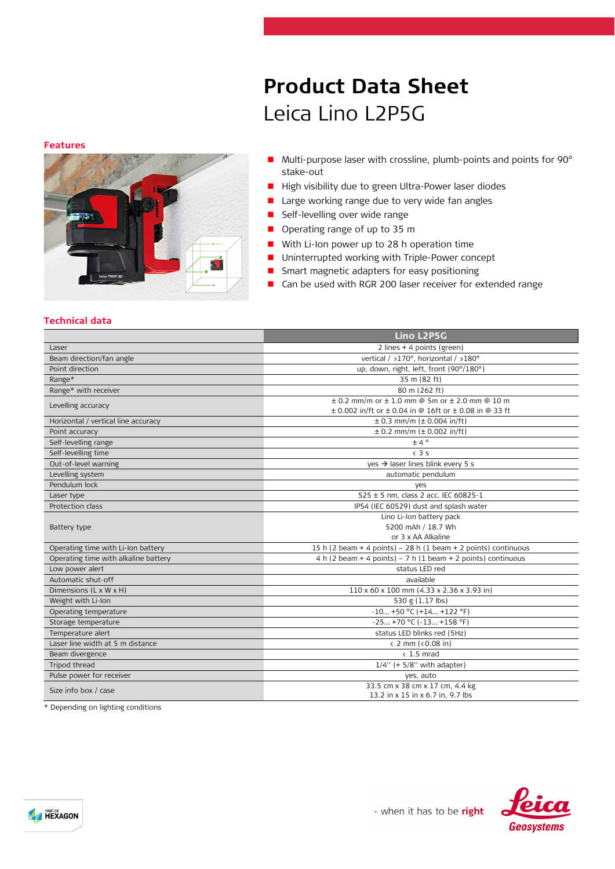#### **Features**



# **Product Data Sheet** Leica Lino L2P5G

- Multi-purpose laser with crossline, plumb-points and points for 90° stake-out
- High visibility due to green Ultra-Power laser diodes
- **Large working range due to very wide fan angles**
- **Self-levelling over wide range**
- Operating range of up to 35 m
- With Li-Ion power up to 28 h operation time
- Uninterrupted working with Triple-Power concept
- **B** Smart magnetic adapters for easy positioning
- Can be used with RGR 200 laser receiver for extended range

## **Technical data**

|                                      | Lino L2P5G                                                         |  |
|--------------------------------------|--------------------------------------------------------------------|--|
| Laser                                | 2 lines + 4 points (green)                                         |  |
| Beam direction/fan angle             | vertical / >170°. horizontal / >180°                               |  |
| Point direction                      | up, down, right, left, front (90°/180°)                            |  |
| Range*                               | 35 m (82 ft)                                                       |  |
| Range* with receiver                 | 80 m (262 ft)                                                      |  |
| Levelling accuracy                   | $\pm$ 0.2 mm/m or $\pm$ 1.0 mm @ 5m or $\pm$ 2.0 mm @ 10 m         |  |
|                                      | $\pm$ 0.002 in/ft or $\pm$ 0.04 in @ 16ft or $\pm$ 0.08 in @ 33 ft |  |
| Horizontal / vertical line accuracy  | $\pm$ 0.3 mm/m ( $\pm$ 0.004 in/ft)                                |  |
| Point accuracy                       | $\pm$ 0.2 mm/m ( $\pm$ 0.002 in/ft)                                |  |
| Self-levelling range                 | ±4°                                                                |  |
| Self-levelling time                  | $\langle$ 3 s                                                      |  |
| Out-of-level warning                 | $ves$ $\rightarrow$ laser lines blink every 5 s                    |  |
| Levelling system                     | automatic pendulum                                                 |  |
| Pendulum lock                        | yes                                                                |  |
| Laser type                           | 525 ± 5 nm, class 2 acc. IEC 60825-1                               |  |
| Protection class                     | IP54 (IEC 60529) dust and splash water                             |  |
|                                      | Lino Li-Ion battery pack                                           |  |
| Battery type                         | 5200 mAh / 18.7 Wh                                                 |  |
|                                      | or 3 x AA Alkaline                                                 |  |
| Operating time with Li-Ion battery   | 15 h (2 beam + 4 points) - 28 h (1 beam + 2 points) continuous     |  |
| Operating time with alkaline battery | $4 h (2 beam + 4 points) - 7 h (1 beam + 2 points)$ continuous     |  |
| Low power alert                      | status LED red                                                     |  |
| Automatic shut-off                   | available                                                          |  |
| Dimensions (L x W x H)               | $110 \times 60 \times 100$ mm (4.33 x 2.36 x 3.93 in)              |  |
| Weight with Li-Ion                   | 530 g (1.17 lbs)                                                   |  |
| Operating temperature                | $-10+50$ °C (+14 +122 °F)                                          |  |
| Storage temperature                  | $-25 +70$ °C ( $-13 +158$ °F)                                      |  |
| Temperature alert                    | status LED blinks red (5Hz)                                        |  |
| Laser line width at 5 m distance     | (2 mm)(0.08 in)                                                    |  |
| Beam divergence                      | $< 1.5$ mrad                                                       |  |
| Tripod thread                        | $1/4$ " (+ 5/8" with adapter)                                      |  |
| Pulse power for receiver             | yes, auto                                                          |  |
| Size info box / case                 | 33.5 cm x 38 cm x 17 cm, 4.4 kg                                    |  |
|                                      | 13.2 in x 15 in x 6.7 in, 9.7 lbs                                  |  |

\* Depending on lighting conditions